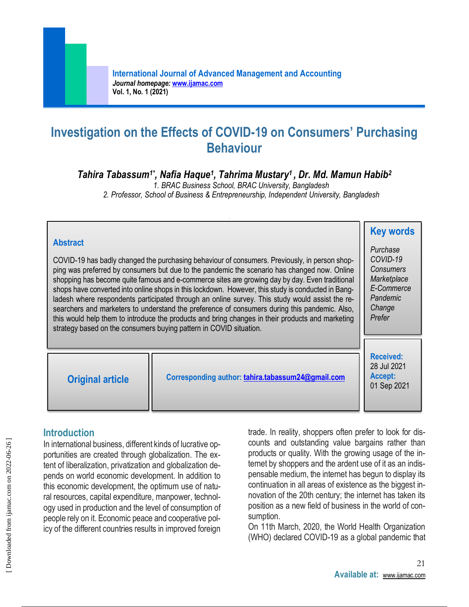# **Investigation on the Effects of COVID-19 on Consumers' Purchasing Behaviour**

### *Tahira Tabassum1\* , Nafia Haque<sup>1</sup> , Tahrima Mustary<sup>1</sup> , Dr. Md. Mamun Habib<sup>2</sup>*

*1. BRAC Business School, BRAC University, Bangladesh*

*2. Professor, School of Business & Entrepreneurship, Independent University, Bangladesh*

#### **Abstract** COVID-19 has badly changed the purchasing behaviour of consumers. Previously, in person shopping was preferred by consumers but due to the pandemic the scenario has changed now. Online shopping has become quite famous and e-commerce sites are growing day by day. Even traditional shops have converted into online shops in this lockdown. However, this study is conducted in Bangladesh where respondents participated through an online survey. This study would assist the researchers and marketers to understand the preference of consumers during this pandemic. Also, this would help them to introduce the products and bring changes in their products and marketing strategy based on the consumers buying pattern in COVID situation. **Key words** *Purchase COVID-19 Consumers Marketplace E-Commerce Pandemic Change Prefer*  **Original article Corresponding author: [tahira.tabassum24@gmail.com](mailto:tahira.tabassum24@gmail.com) Received:** 28 Jul 2021 **Accept:**  01 Sep 2021

### **Introduction**

In international business, different kinds of lucrative opportunities are created through globalization. The extent of liberalization, privatization and globalization depends on world economic development. In addition to this economic development, the optimum use of natural resources, capital expenditure, manpower, technology used in production and the level of consumption of people rely on it. Economic peace and cooperative policy of the different countries results in improved foreign

trade. In reality, shoppers often prefer to look for discounts and outstanding value bargains rather than products or quality. With the growing usage of the internet by shoppers and the ardent use of it as an indispensable medium, the internet has begun to display its continuation in all areas of existence as the biggest innovation of the 20th century; the internet has taken its position as a new field of business in the world of consumption.

On 11th March, 2020, the World Health Organization (WHO) declared COVID-19 as a global pandemic that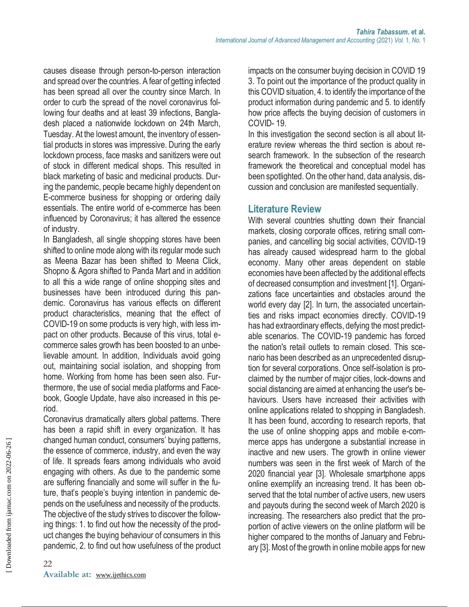causes disease through person-to-person interaction and spread over the countries. A fear of getting infected has been spread all over the country since March. In order to curb the spread of the novel coronavirus following four deaths and at least 39 infections, Bangladesh placed a nationwide lockdown on 24th March, Tuesday. At the lowest amount, the inventory of essential products in stores was impressive. During the early lockdown process, face masks and sanitizers were out of stock in different medical shops. This resulted in black marketing of basic and medicinal products. During the pandemic, people became highly dependent on E-commerce business for shopping or ordering daily essentials. The entire world of e-commerce has been influenced by Coronavirus; it has altered the essence of industry.

In Bangladesh, all single shopping stores have been shifted to online mode along with its regular mode such as Meena Bazar has been shifted to Meena Click, Shopno & Agora shifted to Panda Mart and in addition to all this a wide range of online shopping sites and businesses have been introduced during this pandemic. Coronavirus has various effects on different product characteristics, meaning that the effect of COVID-19 on some products is very high, with less impact on other products. Because of this virus, total ecommerce sales growth has been boosted to an unbelievable amount. In addition, Individuals avoid going out, maintaining social isolation, and shopping from home. Working from home has been seen also. Furthermore, the use of social media platforms and Facebook, Google Update, have also increased in this period.

Coronavirus dramatically alters global patterns. There has been a rapid shift in every organization. It has changed human conduct, consumers' buying patterns, the essence of commerce, industry, and even the way of life. It spreads fears among individuals who avoid engaging with others. As due to the pandemic some are suffering financially and some will suffer in the future, that's people's buying intention in pandemic depends on the usefulness and necessity of the products. The objective of the study strives to discover the following things: 1. to find out how the necessity of the product changes the buying behaviour of consumers in this pandemic, 2. to find out how usefulness of the product impacts on the consumer buying decision in COVID 19 3. To point out the importance of the product quality in this COVID situation, 4. to identify the importance of the product information during pandemic and 5. to identify how price affects the buying decision of customers in COVID- 19.

In this investigation the second section is all about literature review whereas the third section is about research framework. In the subsection of the research framework the theoretical and conceptual model has been spotlighted. On the other hand, data analysis, discussion and conclusion are manifested sequentially.

#### **Literature Review**

With several countries shutting down their financial markets, closing corporate offices, retiring small companies, and cancelling big social activities, COVID-19 has already caused widespread harm to the global economy. Many other areas dependent on stable economies have been affected by the additional effects of decreased consumption and investment [1]. Organizations face uncertainties and obstacles around the world every day [2]. In turn, the associated uncertainties and risks impact economies directly. COVID-19 has had extraordinary effects, defying the most predictable scenarios. The COVID-19 pandemic has forced the nation's retail outlets to remain closed. This scenario has been described as an unprecedented disruption for several corporations. Once self-isolation is proclaimed by the number of major cities, lock-downs and social distancing are aimed at enhancing the user's behaviours. Users have increased their activities with online applications related to shopping in Bangladesh. It has been found, according to research reports, that the use of online shopping apps and mobile e-commerce apps has undergone a substantial increase in inactive and new users. The growth in online viewer numbers was seen in the first week of March of the 2020 financial year [3]. Wholesale smartphone apps online exemplify an increasing trend. It has been observed that the total number of active users, new users and payouts during the second week of March 2020 is increasing. The researchers also predict that the proportion of active viewers on the online platform will be higher compared to the months of January and February [3]. Most of the growth in online mobile apps for new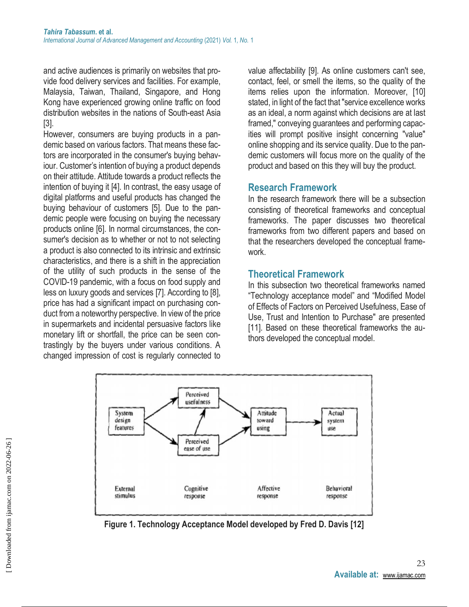and active audiences is primarily on websites that provide food delivery services and facilities. For example, Malaysia, Taiwan, Thailand, Singapore, and Hong Kong have experienced growing online traffic on food distribution websites in the nations of South-east Asia [3].

However, consumers are buying products in a pandemic based on various factors. That means these factors are incorporated in the consumer's buying behaviour. Customer's intention of buying a product depends on their attitude. Attitude towards a product reflects the intention of buying it [4]. In contrast, the easy usage of digital platforms and useful products has changed the buying behaviour of customers [5]. Due to the pandemic people were focusing on buying the necessary products online [6]. In normal circumstances, the consumer's decision as to whether or not to not selecting a product is also connected to its intrinsic and extrinsic characteristics, and there is a shift in the appreciation of the utility of such products in the sense of the COVID-19 pandemic, with a focus on food supply and less on luxury goods and services [7]. According to [8], price has had a significant impact on purchasing conduct from a noteworthy perspective. In view of the price in supermarkets and incidental persuasive factors like monetary lift or shortfall, the price can be seen contrastingly by the buyers under various conditions. A changed impression of cost is regularly connected to

value affectability [9]. As online customers can't see, contact, feel, or smell the items, so the quality of the items relies upon the information. Moreover, [10] stated, in light of the fact that "service excellence works as an ideal, a norm against which decisions are at last framed," conveying guarantees and performing capacities will prompt positive insight concerning "value" online shopping and its service quality. Due to the pandemic customers will focus more on the quality of the product and based on this they will buy the product.

#### **Research Framework**

In the research framework there will be a subsection consisting of theoretical frameworks and conceptual frameworks. The paper discusses two theoretical frameworks from two different papers and based on that the researchers developed the conceptual framework.

### **Theoretical Framework**

In this subsection two theoretical frameworks named "Technology acceptance model" and "Modified Model of Effects of Factors on Perceived Usefulness, Ease of Use, Trust and Intention to Purchase'' are presented [11]. Based on these theoretical frameworks the authors developed the conceptual model.



**Figure 1. Technology Acceptance Model developed by Fred D. Davis [12]**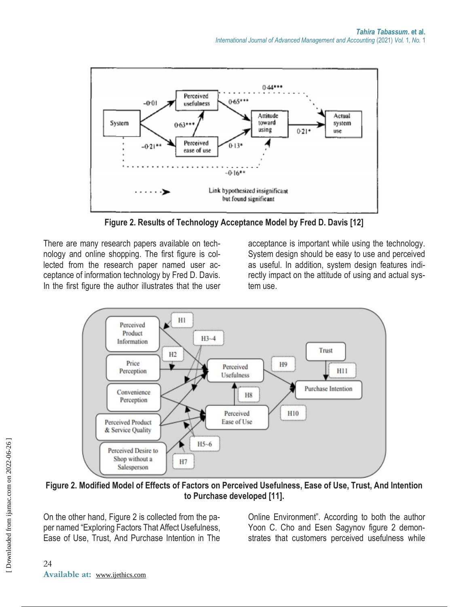

**Figure 2. Results of Technology Acceptance Model by Fred D. Davis [12]**

There are many research papers available on technology and online shopping. The first figure is collected from the research paper named user acceptance of information technology by Fred D. Davis. In the first figure the author illustrates that the user acceptance is important while using the technology. System design should be easy to use and perceived as useful. In addition, system design features indirectly impact on the attitude of using and actual system use.



**Figure 2. Modified Model of Effects of Factors on Perceived Usefulness, Ease of Use, Trust, And Intention to Purchase developed [11].**

On the other hand, Figure 2 is collected from the paper named "Exploring Factors That Affect Usefulness, Ease of Use, Trust, And Purchase Intention in The Online Environment". According to both the author Yoon C. Cho and Esen Sagynov figure 2 demonstrates that customers perceived usefulness while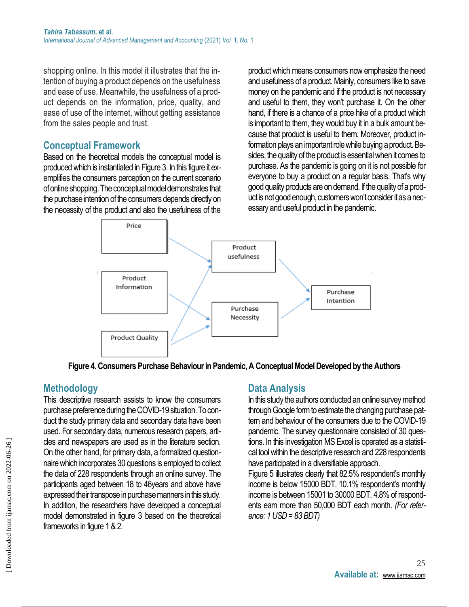shopping online. In this model it illustrates that the intention of buying a product depends on the usefulness and ease of use. Meanwhile, the usefulness of a product depends on the information, price, quality, and ease of use of the internet, without getting assistance from the sales people and trust.

#### **Conceptual Framework**

Based on the theoretical models the conceptual model is produced which is instantiated in Figure 3. In this figure it exemplifies the consumers perception on the current scenario of online shopping. The conceptual model demonstrates that the purchase intention of the consumers depends directly on the necessity of the product and also the usefulness of the product which means consumers now emphasize the need and usefulness of a product. Mainly, consumers like to save money on the pandemic and if the product is not necessary and useful to them, they won't purchase it. On the other hand, if there is a chance of a price hike of a product which is important to them, they would buy it in a bulk amount because that product is useful to them. Moreover, product information plays an important role while buying a product. Besides, the quality of the product is essential when it comes to purchase. As the pandemic is going on it is not possible for everyone to buy a product on a regular basis. That's why good quality products are on demand. If the quality of a product is not good enough, customers won't consider it as a necessary and useful product in the pandemic.



**Figure 4. Consumers Purchase Behaviour in Pandemic, A Conceptual Model Developed by the Authors**

## **Methodology**

This descriptive research assists to know the consumers purchase preference during the COVID-19 situation. To conduct the study primary data and secondary data have been used. For secondary data, numerous research papers, articles and newspapers are used as in the literature section. On the other hand, for primary data, a formalized questionnaire which incorporates 30 questions is employed to collect the data of 228 respondents through an online survey. The participants aged between 18 to 46years and above have expressed their transpose in purchase manners in this study. In addition, the researchers have developed a conceptual model demonstrated in figure 3 based on the theoretical frameworks in figure 1 & 2.

### **Data Analysis**

In this study the authors conducted an online survey method through Google form to estimate the changing purchase pattern and behaviour of the consumers due to the COVID-19 pandemic. The survey questionnaire consisted of 30 questions. In this investigation MS Excel is operated as a statistical tool within the descriptive research and 228 respondents have participated in a diversifiable approach.

Figure 5 illustrates clearly that 82.5% respondent's monthly income is below 15000 BDT. 10.1% respondent's monthly income is between 15001 to 30000 BDT. 4.8% of respondents earn more than 50,000 BDT each month. *(For reference: 1 USD = 83 BDT)*

 [\[ Downloaded from ijamac.com on 2022-0](http://ijamac.com/article-1-22-en.html)6-26 ]

Downloaded from ijamac.com on 2022-06-26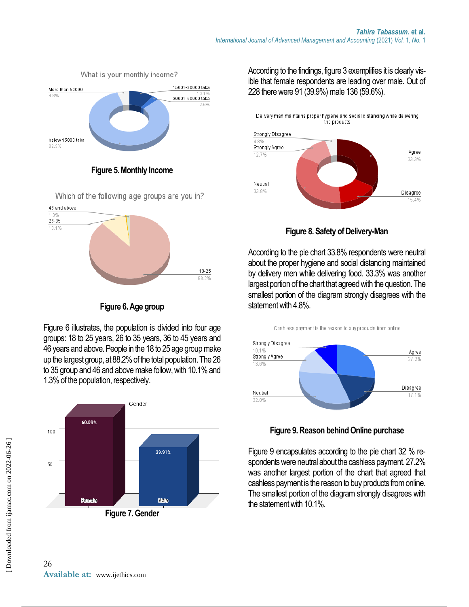

**Figure 5. Monthly Income**

Which of the following age groups are you in?



**Figure 6. Age group**

Figure 6 illustrates, the population is divided into four age groups: 18 to 25 years, 26 to 35 years, 36 to 45 years and 46 years and above. People in the 18 to 25 age group make up the largest group, at 88.2% of the total population. The 26 to 35 group and 46 and above make follow, with 10.1% and 1.3% of the population, respectively.



According to the findings, figure 3 exemplifies it is clearly visible that female respondents are leading over male. Out of 228 there were 91 (39.9%) male 136 (59.6%).

Delivery man maintains proper hygiene and social distancing while delivering the products



**Figure 8. Safety of Delivery-Man**

According to the pie chart 33.8% respondents were neutral about the proper hygiene and social distancing maintained by delivery men while delivering food. 33.3% was another largest portion of the chart that agreed with the question. The smallest portion of the diagram strongly disagrees with the statement with 4.8%.

Cashless payment is the reason to buy products from online



**Figure 9. Reason behind Online purchase**

Figure 9 encapsulates according to the pie chart 32 % respondents were neutral about the cashless payment. 27.2% was another largest portion of the chart that agreed that cashless payment is the reason to buy products from online. The smallest portion of the diagram strongly disagrees with the statement with 10.1%.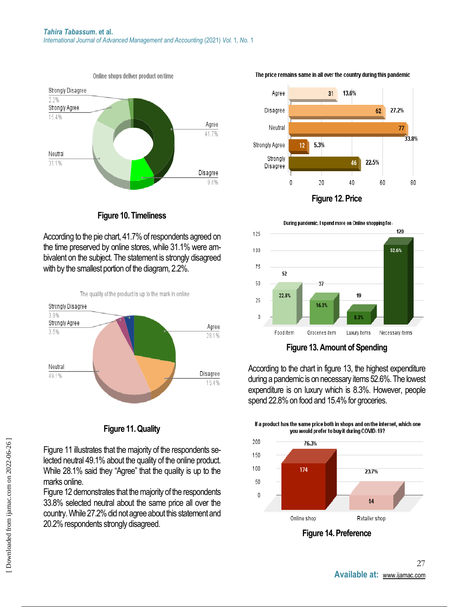

**Figure 10. Timeliness**

According to the pie chart, 41.7% of respondents agreed on the time preserved by online stores, while 31.1% were ambivalent on the subject. The statement is strongly disagreed with by the smallest portion of the diagram, 2.2%.



#### **Figure 11. Quality**

Figure 11 illustrates that the majority of the respondents selected neutral 49.1% about the quality of the online product. While 28.1% said they "Agree" that the quality is up to the marks online.

Figure 12 demonstrates that the majority of the respondents 33.8% selected neutral about the same price all over the country. While 27.2% did not agree about this statement and 20.2% respondents strongly disagreed.





According to the chart in figure 13, the highest expenditure during a pandemic is on necessary items 52.6%. The lowest expenditure is on luxury which is 8.3%. However, people spend 22.8% on food and 15.4% for groceries.

If a product has the same price both in shops and on the internet, which one



**Figure 14. Preference**

#### The price remains same in all over the country during this pandemic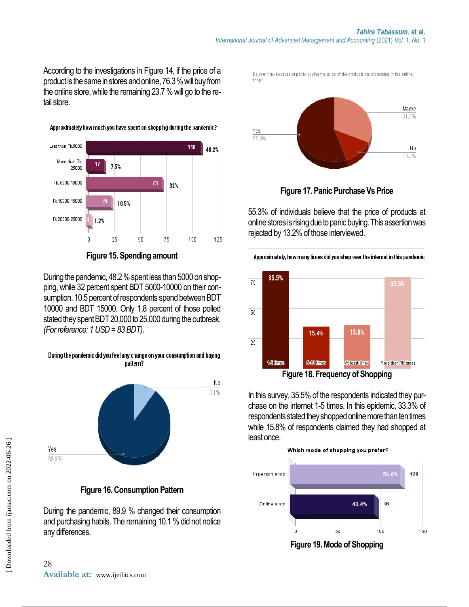According to the investigations in Figure 14, if the price of a product is the same in stores and online, 76.3 % will buy from the online store, while the remaining 23.7 % will go to the retail store.



Approximately how much you have spent on shopping during the pandemic?

#### **Figure 15. Spending amount**

During the pandemic, 48.2 % spent less than 5000 on shopping, while 32 percent spent BDT 5000-10000 on their consumption. 10.5 percent of respondents spend between BDT 10000 and BDT 15000. Only 1.8 percent of those polled stated they spent BDT 20,000 to 25,000 during the outbreak. *(For reference: 1 USD = 83 BDT).*

During the pandemic did you feel any change on your consumption and buying





During the pandemic, 89.9 % changed their consumption and purchasing habits. The remaining 10.1 % did not notice any differences.

Do you think because of panic buying the price of the products are increasing in the online shop?



**Figure 17. Panic Purchase Vs Price**

55.3% of individuals believe that the price of products at online stores is rising due to panic buying. This assertion was rejected by 13.2% of those interviewed.



In this survey, 35.5% of the respondents indicated they pur-

chase on the internet 1-5 times. In this epidemic, 33.3% of respondents stated they shopped online more than ten times while 15.8% of respondents claimed they had shopped at least once.



**Figure 19. Mode of Shopping**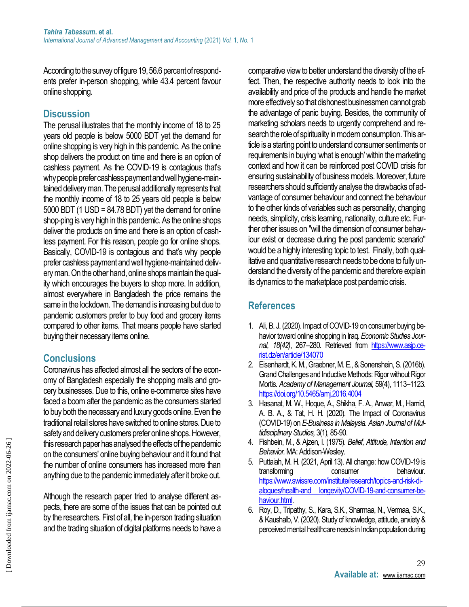According to the survey of figure 19, 56.6 percent of respondents prefer in-person shopping, while 43.4 percent favour online shopping.

### **Discussion**

The perusal illustrates that the monthly income of 18 to 25 years old people is below 5000 BDT yet the demand for online shopping is very high in this pandemic. As the online shop delivers the product on time and there is an option of cashless payment. As the COVID-19 is contagious that's why people prefer cashless payment and well hygiene-maintained delivery man. The perusal additionally represents that the monthly income of 18 to 25 years old people is below 5000 BDT (1 USD = 84.78 BDT) yet the demand for online shop-ping is very high in this pandemic. As the online shops deliver the products on time and there is an option of cashless payment. For this reason, people go for online shops. Basically, COVID-19 is contagious and that's why people prefer cashless payment and well hygiene-maintained delivery man. On the other hand, online shops maintain the quality which encourages the buyers to shop more. In addition, almost everywhere in Bangladesh the price remains the same in the lockdown. The demand is increasing but due to pandemic customers prefer to buy food and grocery items compared to other items. That means people have started buying their necessary items online.

### **Conclusions**

Coronavirus has affected almost all the sectors of the economy of Bangladesh especially the shopping malls and grocery businesses. Due to this, online e-commerce sites have faced a boom after the pandemic as the consumers started to buy both the necessary and luxury goods online. Even the traditional retail stores have switched to online stores. Due to safety and delivery customers prefer online shops. However, this research paper has analysed the effects of the pandemic on the consumers' online buying behaviour and it found that the number of online consumers has increased more than anything due to the pandemic immediately after it broke out.

Although the research paper tried to analyse different aspects, there are some of the issues that can be pointed out by the researchers. First of all, the in-person trading situation and the trading situation of digital platforms needs to have a comparative view to better understand the diversity of the effect. Then, the respective authority needs to look into the availability and price of the products and handle the market more effectively so that dishonest businessmen cannot grab the advantage of panic buying. Besides, the community of marketing scholars needs to urgently comprehend and research the role of spirituality in modern consumption. This article is a starting point to understand consumer sentiments or requirements in buying 'what is enough' within the marketing context and how it can be reinforced post COVID crisis for ensuring sustainability of business models. Moreover, future researchers should sufficiently analyse the drawbacks of advantage of consumer behaviour and connect the behaviour to the other kinds of variables such as personality, changing needs, simplicity, crisis learning, nationality, culture etc. Further other issues on "will the dimension of consumer behaviour exist or decrease during the post pandemic scenario" would be a highly interesting topic to test. Finally, both qualitative and quantitative research needs to be done to fully understand the diversity of the pandemic and therefore explain its dynamics to the marketplace post pandemic crisis.

### **References**

- 1. Ali, B. J. (2020). Impact of COVID-19 on consumer buying behavior toward online shopping in Iraq. *Economic Studies Journal, 18(42)*, 267–280. Retrieved from [https://www.asjp.ce](https://www.asjp.cerist.dz/en/article/134070)[rist.dz/en/article/134070](https://www.asjp.cerist.dz/en/article/134070)
- 2. Eisenhardt, K. M., Graebner, M. E., & Sonenshein, S. (2016b). Grand Challenges and Inductive Methods: Rigor without Rigor Mortis. *Academy of Management Journal,* 59(4), 1113–1123. <https://doi.org/10.5465/amj.2016.4004>
- 3. Hasanat, M. W., Hoque, A., Shikha, F. A., Anwar, M., Hamid, A. B. A., & Tat, H. H. (2020). The Impact of Coronavirus (COVID-19) on *E-Business in Malaysia. Asian Journal of Multidisciplinary Studies,* 3(1), 85-90.
- 4. Fishbein, M., & Ajzen, I. (1975). *Belief, Attitude, Intention and Behavior.*MA: Addison-Wesley.
- 5. Puttaiah, M. H. (2021, April 13). All change: how COVID-19 is transforming consumer behaviour. [https://www.swissre.com/institute/research/topics-and-risk-di](https://www.swissre.com/institute/research/topics-and-risk-dialogues/health-and%20longevity/COVID-19-and-consumer-behaviour.html)[alogues/health-and longevity/COVID-19-and-consumer-be](https://www.swissre.com/institute/research/topics-and-risk-dialogues/health-and%20longevity/COVID-19-and-consumer-behaviour.html)[haviour.html.](https://www.swissre.com/institute/research/topics-and-risk-dialogues/health-and%20longevity/COVID-19-and-consumer-behaviour.html)
- 6. Roy, D., Tripathy, S., Kara, S.K., Sharmaa, N., Vermaa, S.K., & Kaushalb, V. (2020). Study of knowledge, attitude, anxiety & perceived mental healthcare needs in Indian population during